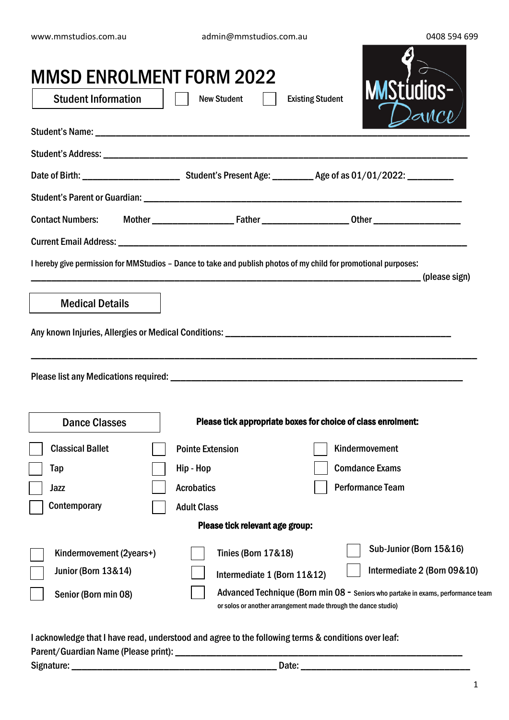www.mmstudios.com.au admin@mmstudios.com.au 0408 594 699

 $\overline{\mathbf{A}}$ 

| <b>MMSD ENROLMENT FORM 2022</b><br><b>Student Information</b>                                                   | <b>New Student</b>              | <b>MSt</b><br><b>Existing Student</b>                                                                                                              |
|-----------------------------------------------------------------------------------------------------------------|---------------------------------|----------------------------------------------------------------------------------------------------------------------------------------------------|
|                                                                                                                 |                                 |                                                                                                                                                    |
|                                                                                                                 |                                 |                                                                                                                                                    |
|                                                                                                                 |                                 |                                                                                                                                                    |
|                                                                                                                 |                                 |                                                                                                                                                    |
|                                                                                                                 |                                 |                                                                                                                                                    |
|                                                                                                                 |                                 |                                                                                                                                                    |
| I hereby give permission for MMStudios - Dance to take and publish photos of my child for promotional purposes: |                                 |                                                                                                                                                    |
| <b>Medical Details</b>                                                                                          |                                 |                                                                                                                                                    |
|                                                                                                                 |                                 |                                                                                                                                                    |
| <b>Dance Classes</b>                                                                                            |                                 | Please tick appropriate boxes for choice of class enrolment:                                                                                       |
| <b>Classical Ballet</b>                                                                                         | <b>Pointe Extension</b>         | Kindermovement                                                                                                                                     |
| Tap                                                                                                             | Hip - Hop                       | <b>Comdance Exams</b>                                                                                                                              |
| Jazz                                                                                                            | <b>Acrobatics</b>               | <b>Performance Team</b>                                                                                                                            |
| Contemporary                                                                                                    | <b>Adult Class</b>              |                                                                                                                                                    |
|                                                                                                                 | Please tick relevant age group: |                                                                                                                                                    |
| Kindermovement (2years+)                                                                                        | <b>Tinies (Born 17&amp;18)</b>  | Sub-Junior (Born 15&16)                                                                                                                            |
| <b>Junior (Born 13&amp;14)</b>                                                                                  | Intermediate 1 (Born 11&12)     | Intermediate 2 (Born 09&10)                                                                                                                        |
| Senior (Born min 08)                                                                                            |                                 | Advanced Technique (Born min 08 - Seniors who partake in exams, performance team<br>or solos or another arrangement made through the dance studio) |

I acknowledge that I have read, understood and agree to the following terms & conditions over leaf:

| Parent/Guardian Name (Please print): |  |
|--------------------------------------|--|
|--------------------------------------|--|

Signature: \_\_\_\_\_\_\_\_\_\_\_\_\_\_\_\_\_\_\_\_\_\_\_\_\_\_\_\_\_\_\_\_\_\_\_\_\_\_\_\_ Date: \_\_\_\_\_\_\_\_\_\_\_\_\_\_\_\_\_\_\_\_\_\_\_\_\_\_\_\_\_\_\_\_\_